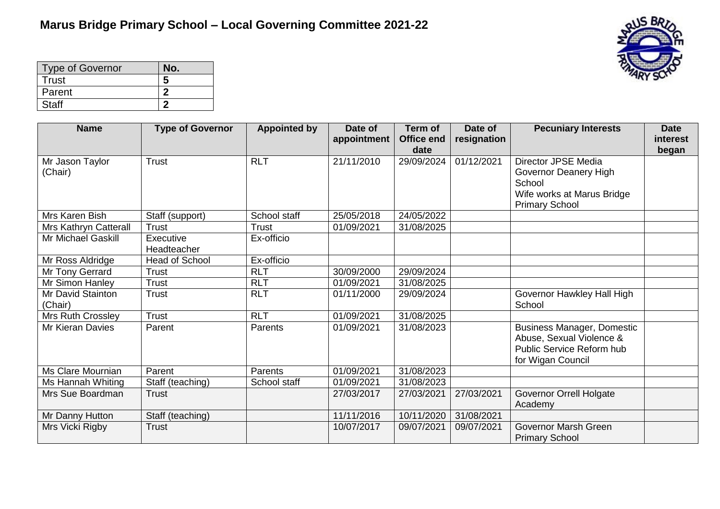

| <b>Type of Governor</b> | No. |
|-------------------------|-----|
| Trust                   | 5   |
| Parent                  |     |
| <b>Staff</b>            |     |

| <b>Name</b>                  | <b>Type of Governor</b>  | <b>Appointed by</b> | Date of<br>appointment | Term of<br><b>Office end</b> | Date of<br>resignation | <b>Pecuniary Interests</b>                                                                                           | <b>Date</b><br>interest |
|------------------------------|--------------------------|---------------------|------------------------|------------------------------|------------------------|----------------------------------------------------------------------------------------------------------------------|-------------------------|
|                              |                          |                     |                        | date                         |                        |                                                                                                                      | began                   |
| Mr Jason Taylor<br>(Chair)   | <b>Trust</b>             | <b>RLT</b>          | 21/11/2010             | 29/09/2024                   | 01/12/2021             | <b>Director JPSE Media</b><br>Governor Deanery High<br>School<br>Wife works at Marus Bridge<br><b>Primary School</b> |                         |
| Mrs Karen Bish               | Staff (support)          | School staff        | 25/05/2018             | 24/05/2022                   |                        |                                                                                                                      |                         |
| Mrs Kathryn Catterall        | <b>Trust</b>             | Trust               | 01/09/2021             | 31/08/2025                   |                        |                                                                                                                      |                         |
| Mr Michael Gaskill           | Executive<br>Headteacher | Ex-officio          |                        |                              |                        |                                                                                                                      |                         |
| Mr Ross Aldridge             | <b>Head of School</b>    | Ex-officio          |                        |                              |                        |                                                                                                                      |                         |
| Mr Tony Gerrard              | <b>Trust</b>             | <b>RLT</b>          | 30/09/2000             | 29/09/2024                   |                        |                                                                                                                      |                         |
| Mr Simon Hanley              | <b>Trust</b>             | <b>RLT</b>          | 01/09/2021             | 31/08/2025                   |                        |                                                                                                                      |                         |
| Mr David Stainton<br>(Chair) | <b>Trust</b>             | <b>RLT</b>          | 01/11/2000             | 29/09/2024                   |                        | Governor Hawkley Hall High<br>School                                                                                 |                         |
| Mrs Ruth Crossley            | <b>Trust</b>             | <b>RLT</b>          | 01/09/2021             | 31/08/2025                   |                        |                                                                                                                      |                         |
| <b>Mr Kieran Davies</b>      | Parent                   | Parents             | 01/09/2021             | 31/08/2023                   |                        | <b>Business Manager, Domestic</b><br>Abuse, Sexual Violence &<br>Public Service Reform hub<br>for Wigan Council      |                         |
| Ms Clare Mournian            | Parent                   | Parents             | 01/09/2021             | 31/08/2023                   |                        |                                                                                                                      |                         |
| Ms Hannah Whiting            | Staff (teaching)         | School staff        | 01/09/2021             | 31/08/2023                   |                        |                                                                                                                      |                         |
| Mrs Sue Boardman             | <b>Trust</b>             |                     | 27/03/2017             | 27/03/2021                   | 27/03/2021             | <b>Governor Orrell Holgate</b><br>Academy                                                                            |                         |
| Mr Danny Hutton              | Staff (teaching)         |                     | 11/11/2016             | 10/11/2020                   | 31/08/2021             |                                                                                                                      |                         |
| Mrs Vicki Rigby              | <b>Trust</b>             |                     | 10/07/2017             | 09/07/2021                   | 09/07/2021             | Governor Marsh Green<br><b>Primary School</b>                                                                        |                         |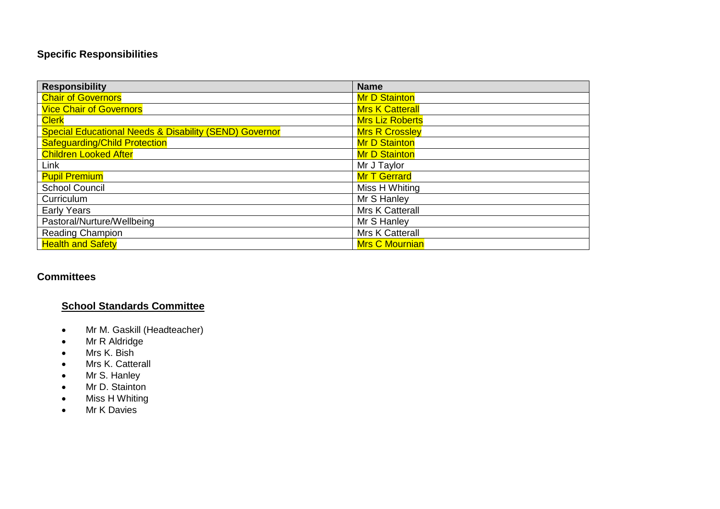# **Specific Responsibilities**

| <b>Responsibility</b>                                             | <b>Name</b>            |
|-------------------------------------------------------------------|------------------------|
| <b>Chair of Governors</b>                                         | <b>Mr D Stainton</b>   |
| <b>Vice Chair of Governors</b>                                    | <b>Mrs K Catterall</b> |
| <b>Clerk</b>                                                      | <b>Mrs Liz Roberts</b> |
| <b>Special Educational Needs &amp; Disability (SEND) Governor</b> | <b>Mrs R Crossley</b>  |
| <b>Safeguarding/Child Protection</b>                              | <b>Mr D Stainton</b>   |
| <b>Children Looked After</b>                                      | <b>Mr D Stainton</b>   |
| Link                                                              | Mr J Taylor            |
| <b>Pupil Premium</b>                                              | <b>Mr T Gerrard</b>    |
| <b>School Council</b>                                             | Miss H Whiting         |
| Curriculum                                                        | Mr S Hanley            |
| <b>Early Years</b>                                                | <b>Mrs K Catterall</b> |
| Pastoral/Nurture/Wellbeing                                        | Mr S Hanley            |
| <b>Reading Champion</b>                                           | Mrs K Catterall        |
| <b>Health and Safety</b>                                          | <b>Mrs C Mournian</b>  |

### **Committees**

# **School Standards Committee**

- Mr M. Gaskill (Headteacher)
- Mr R Aldridge
- Mrs K. Bish
- Mrs K. Catterall
- Mr S. Hanley
- Mr D. Stainton
- Miss H Whiting
- Mr K Davies